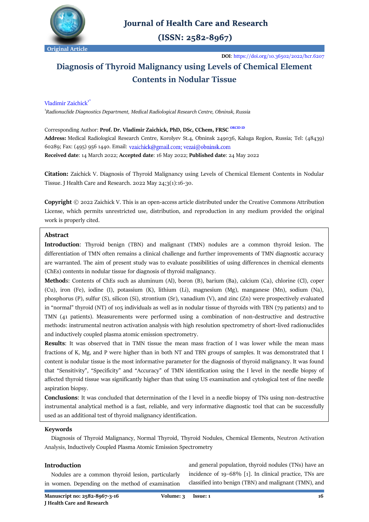

# **Journal of Health Care and Research**

 $(ISSN: 2582-8967)$ 

**DOI**:<https://doi.org/10.36502/2022/hcr.6207>

# **Diagnosis of Thyroid Malignancy using Levels of Chemical Element Contents in Nodular Tissue**

# Vladimir Zaichick<sup>1\*</sup>

1 *Radionuclide Diagnostics Department[, Medical Radiological Research Centre,](https://mrrc.nmicr.ru/) Obninsk, Russia*

Corresponding Author: **Prof. Dr. Vladimir Zaichick, PhD, DSc, CChem, FRSC [ORCID iD](https://orcid.org/0000-0002-4286-4267) Address:** Medical Radiological Research Centre, Korolyev St.4, Obninsk 249036, Kaluga Region, Russia; Tel: (48439) 60289; Fax: (495) 956 1440. Email: vzaichick@gmail.com; vezai@obninsk.com **Received date**: 14 March 2022; **Accepted date**: 16 May 2022; **Published date**: 24 May 2022

**Citation:** Zaichick V. Diagnosis of Thyroid Malignancy using Levels of Chemical Element Contents in Nodular Tissue. J Health Care and Research. 2022 May 24;3(1):16-30.

**Copyright** © 2022 Zaichick V. This is an open-access article distributed under the Creative Commons Attribution License, which permits unrestricted use, distribution, and reproduction in any medium provided the original work is properly cited.

# **Abstract**

**Introduction**: Thyroid benign (TBN) and malignant (TMN) nodules are a common thyroid lesion. The differentiation of TMN often remains a clinical challenge and further improvements of TMN diagnostic accuracy are warranted. The aim of present study was to evaluate possibilities of using differences in chemical elements (ChEs) contents in nodular tissue for diagnosis of thyroid malignancy.

**Method**s: Contents of ChEs such as aluminum (Al), boron (B), barium (Ba), calcium (Ca), chlorine (Cl), coper (Cu), iron (Fe), iodine (I), potassium (K), lithium (Li), magnesium (Mg), manganese (Mn), sodium (Na), phosphorus (P), sulfur (S), silicon (Si), strontium (Sr), vanadium (V), and zinc (Zn) were prospectively evaluated in "normal" thyroid (NT) of 105 individuals as well as in nodular tissue of thyroids with TBN (79 patients) and to TMN (41 patients). Measurements were performed using a combination of non-destructive and destructive methods: instrumental neutron activation analysis with high resolution spectrometry of short-lived radionuclides and inductively coupled plasma atomic emission spectrometry.

**Results**: It was observed that in TMN tissue the mean mass fraction of I was lower while the mean mass fractions of K, Mg, and P were higher than in both NT and TBN groups of samples. It was demonstrated that I content is nodular tissue is the most informative parameter for the diagnosis of thyroid malignancy. It was found that "Sensitivity", "Specificity" and "Accuracy" of TMN identification using the I level in the needle biopsy of affected thyroid tissue was significantly higher than that using US examination and cytological test of fine needle aspiration biopsy.

**Conclusions**: It was concluded that determination of the I level in a needle biopsy of TNs using non-destructive instrumental analytical method is a fast, reliable, and very informative diagnostic tool that can be successfully used as an additional test of thyroid malignancy identification.

# **Keywords**

 Diagnosis of Thyroid Malignancy, Normal Thyroid, Thyroid Nodules, Chemical Elements, Neutron Activation Analysis, Inductively Coupled Plasma Atomic Emission Spectrometry

# **Introduction**

 Nodules are a common thyroid lesion, particularly in women. Depending on the method of examination

**Manuscript no: 2582-8967-3-16 Volume: 3 Issue: 1 16 J Health Care and Research**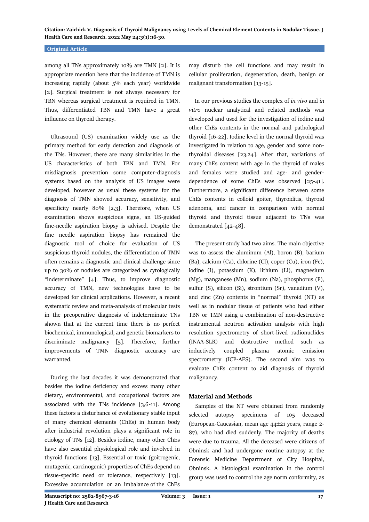#### **Original Article**

among all TNs approximately 10% are TMN [2]. It is appropriate mention here that the incidence of TMN is increasing rapidly (about 5% each year) worldwide [2]. Surgical treatment is not always necessary for TBN whereas surgical treatment is required in TMN. Thus, differentiated TBN and TMN have a great influence on thyroid therapy.

 Ultrasound (US) examination widely use as the primary method for early detection and diagnosis of the TNs. However, there are many similarities in the US characteristics of both TBN and TMN. For misdiagnosis prevention some computer-diagnosis systems based on the analysis of US images were developed, however as usual these systems for the diagnosis of TMN showed accuracy, sensitivity, and specificity nearly 80% [2,3]. Therefore, when US examination shows suspicious signs, an US-guided fine-needle aspiration biopsy is advised. Despite the fine needle aspiration biopsy has remained the diagnostic tool of choice for evaluation of US suspicious thyroid nodules, the differentiation of TMN often remains a diagnostic and clinical challenge since up to 30% of nodules are categorized as cytologically "indeterminate" [4]. Thus, to improve diagnostic accuracy of TMN, new technologies have to be developed for clinical applications. However, a recent systematic review and meta-analysis of molecular tests in the preoperative diagnosis of indeterminate TNs shown that at the current time there is no perfect biochemical, immunological, and genetic biomarkers to discriminate malignancy [5]. Therefore, further improvements of TMN diagnostic accuracy are warranted.

 During the last decades it was demonstrated that besides the iodine deficiency and excess many other dietary, environmental, and occupational factors are associated with the TNs incidence [3,6-11]. Among these factors a disturbance of evolutionary stable input of many chemical elements (ChEs) in human body after industrial revolution plays a significant role in etiology of TNs [12]. Besides iodine, many other ChEs have also essential physiological role and involved in thyroid functions [13]. Essential or toxic (goitrogenic, mutagenic, carcinogenic) properties of ChEs depend on tissue-specific need or tolerance, respectively [13]. Excessive accumulation or an imbalance of the ChEs

may disturb the cell functions and may result in cellular proliferation, degeneration, death, benign or malignant transformation [13-15].

 In our previous studies the complex of *in vivo* and *in vitro* nuclear analytical and related methods was developed and used for the investigation of iodine and other ChEs contents in the normal and pathological thyroid [16-22]. Iodine level in the normal thyroid was investigated in relation to age, gender and some nonthyroidal diseases [23,24]. After that, variations of many ChEs content with age in the thyroid of males and females were studied and age- and genderdependence of some ChEs was observed [25-41]. Furthermore, a significant difference between some ChEs contents in colloid goiter, thyroiditis, thyroid adenoma, and cancer in comparison with normal thyroid and thyroid tissue adjacent to TNs was demonstrated [42-48].

 The present study had two aims. The main objective was to assess the aluminum (Al), boron (B), barium (Ba), calcium (Ca), chlorine (Cl), coper (Cu), iron (Fe), iodine (I), potassium (K), lithium (Li), magnesium (Mg), manganese (Mn), sodium (Na), phosphorus (P), sulfur (S), silicon (Si), strontium (Sr), vanadium (V), and zinc (Zn) contents in "normal" thyroid (NT) as well as in nodular tissue of patients who had either TBN or TMN using a combination of non-destructive instrumental neutron activation analysis with high resolution spectrometry of short-lived radionuclides (INAA-SLR) and destructive method such as inductively coupled plasma atomic emission spectrometry (ICP-AES). The second aim was to evaluate ChEs content to aid diagnosis of thyroid malignancy.

# **Material and Methods**

 Samples of the NT were obtained from randomly selected autopsy specimens of 105 deceased (European-Caucasian, mean age  $44\pm 21$  years, range 2-87), who had died suddenly. The majority of deaths were due to trauma. All the deceased were citizens of Obninsk and had undergone routine autopsy at the Forensic Medicine Department of City Hospital, Obninsk. A histological examination in the control group was used to control the age norm conformity, as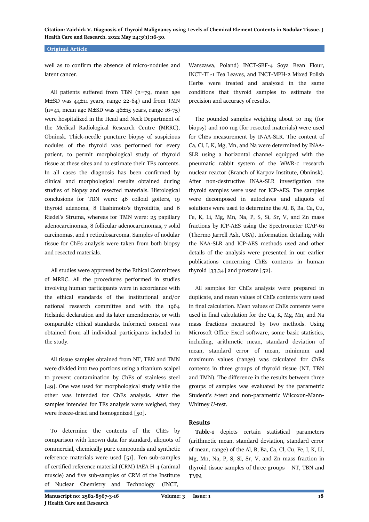# **Original Article**

well as to confirm the absence of micro-nodules and latent cancer.

 All patients suffered from TBN (n=79, mean age M $\pm$ SD was 44 $\pm$ 11 years, range 22-64) and from TMN  $(n=41,$  mean age M $\pm$ SD was 46 $\pm$ 15 years, range 16-75) were hospitalized in the Head and Neck Department of the Medical Radiological Research Centre (MRRC), Obninsk. Thick-needle puncture biopsy of suspicious nodules of the thyroid was performed for every patient, to permit morphological study of thyroid tissue at these sites and to estimate their TEs contents. In all cases the diagnosis has been confirmed by clinical and morphological results obtained during studies of biopsy and resected materials. Histological conclusions for TBN were: 46 colloid goiters, 19 thyroid adenoma, 8 Hashimoto's thyroiditis, and 6 Riedel's Struma, whereas for TMN were: 25 papillary adenocarcinomas, 8 follicular adenocarcinomas, 7 solid carcinomas, and 1 reticulosarcoma. Samples of nodular tissue for ChEs analysis were taken from both biopsy and resected materials.

 All studies were approved by the Ethical Committees of MRRC. All the procedures performed in studies involving human participants were in accordance with the ethical standards of the institutional and/or national research committee and with the 1964 Helsinki declaration and its later amendments, or with comparable ethical standards. Informed consent was obtained from all individual participants included in the study.

 All tissue samples obtained from NT, TBN and TMN were divided into two portions using a titanium scalpel to prevent contamination by ChEs of stainless steel [49]. One was used for morphological study while the other was intended for ChEs analysis. After the samples intended for TEs analysis were weighed, they were freeze-dried and homogenized [50].

 To determine the contents of the ChEs by comparison with known data for standard, aliquots of commercial, chemically pure compounds and synthetic reference materials were used [51]. Ten sub-samples of certified reference material (CRM) IAEA H-4 (animal muscle) and five sub-samples of CRM of the Institute of Nuclear Chemistry and Technology (INCT,

Warszawa, Poland) INCT-SBF-4 Soya Bean Flour, INCT-TL-1 Tea Leaves, and INCT-MPH-2 Mixed Polish Herbs were treated and analyzed in the same conditions that thyroid samples to estimate the precision and accuracy of results.

 The pounded samples weighing about 10 mg (for biopsy) and 100 mg (for resected materials) were used for ChEs measurement by INAA-SLR. The content of Ca, Cl, I, K, Mg, Mn, and Na were determined by INAA-SLR using a horizontal channel equipped with the pneumatic rabbit system of the WWR-c research nuclear reactor (Branch of Karpov Institute, Obninsk). After non-destructive INAA-SLR investigation the thyroid samples were used for ICP-AES. The samples were decomposed in autoclaves and aliquots of solutions were used to determine the Al, B, Ba, Ca, Cu, Fe, K, Li, Mg, Mn, Na, P, S, Si, Sr, V, and Zn mass fractions by ICP-AES using the Spectrometer ICAP-61 (Thermo Jarrell Ash, USA). Information detailing with the NAA-SLR and ICP-AES methods used and other details of the analysis were presented in our earlier publications concerning ChEs contents in human thyroid  $[33,34]$  and prostate  $[52]$ .

 All samples for ChEs analysis were prepared in duplicate, and mean values of ChEs contents were used in final calculation. Mean values of ChEs contents were used in final calculation for the Ca, K, Mg, Mn, and Na mass fractions measured by two methods. Using Microsoft Office Excel software, some basic statistics, including, arithmetic mean, standard deviation of mean, standard error of mean, minimum and maximum values (range) was calculated for ChEs contents in three groups of thyroid tissue (NT, TBN and TMN). The difference in the results between three groups of samples was evaluated by the parametric Student's *t*-test and non-parametric Wilcoxon-Mann-Whitney *U*-test.

#### **Results**

 **Table-1** depicts certain statistical parameters (arithmetic mean, standard deviation, standard error of mean, range) of the Al, B, Ba, Ca, Cl, Cu, Fe, I, K, Li, Mg, Mn, Na, P, S, Si, Sr, V, and Zn mass fraction in thyroid tissue samples of three groups – NT, TBN and TMN.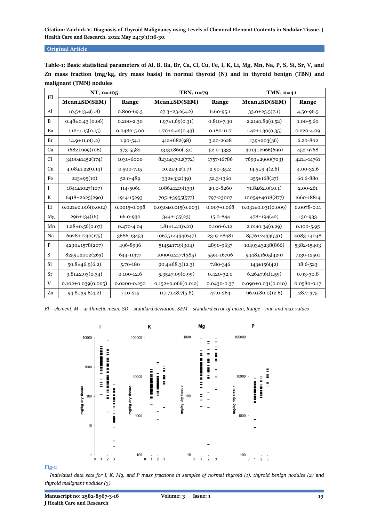**Original Article**

| El           | $NT, n=105$              |                | TBN, $n=79$              |               | TMN, $n=41$              |                |  |
|--------------|--------------------------|----------------|--------------------------|---------------|--------------------------|----------------|--|
|              | Mean±SD(SEM)             | Range          | $Mean \pm SD(SEM)$       | Range         | Mean±SD(SEM)             | Range          |  |
| Al           | $10.5 \pm 13.4(1.8)$     | $0.800 - 69.3$ | $27.3 \pm 23.6(4.2)$     | $6.60 - 95.1$ | $33.0 \pm 25.5(7.1)$     | 4.50-96.5      |  |
| B            | $0.48\pm0.43(0.06)$      | 0.200-2.30     | $1.97 \pm 1.69(0.31)$    | 0.810-7.30    | $2.21 \pm 1.89(0.52)$    | $1.00 - 5.60$  |  |
| Ba           | $1.12 \pm 1.15(0.15)$    | 0.0480-5.00    | $1.70 \pm 2.42(0.43)$    | 0.180-11.7    | $1.42 \pm 1.30(0.35)$    | $0.220 - 4.09$ |  |
| Br           | $14.9 \pm 11.0(1.2)$     | 1.90-54.1      | $412\pm 682(98)$         | 3.20-2628     | $139 \pm 203(36)$        | 6.20-802       |  |
| Ca           | $1682\pm999(106)$        | 373-5582       | $1313\pm860(131)$        | 52.0-4333     | $3013\pm 2966(699)$      | 452-9768       |  |
| Cl           | 3400±1452(174)           | 1030-6000      | 8231±3702(772)           | 1757-16786    | 7699±2900(703)           | 4214-14761     |  |
| Cu           | $4.08 \pm 1.22(0.14)$    | 0.500-7.15     | $10.2 \pm 9.2(1.7)$      | 2.90-35.2     | $14.5 \pm 9.4(2.6)$      | 4.00-32.6      |  |
| Fe           | $223 \pm 95(10)$         | 52.0-489       | $332 \pm 332(39)$        | 52.3-1360     | $255 \pm 168(27)$        | 60.6-880       |  |
| $\mathbf{I}$ | $1841 \pm 1027(107)$     | 114-5061       | $1086 \pm 1219(139)$     | 29.0-8260     | $71.8 \pm 62.0(10.1)$    | 2.00-261       |  |
| K            | $6418 \pm 2625(290)$     | 1914-15293     | 7051±3955(577)           | 797-23007     | 10054±4018(877)          | 1660-18814     |  |
| Li           | $0.021 \pm 0.016(0.002)$ | 0.0015-0.098   | $0.030 \pm 0.015(0.003)$ | 0.007-0.068   | $0.031\pm0.031(0.009)$   | 0.0078-0.11    |  |
| Mg           | $296 \pm 134(16)$        | 66.0-930       | $344\pm 155(23)$         | 15.0-844      | $478 \pm 194(42)$        | 130-933        |  |
| Mn           | $1.28 \pm 0.56(0.07)$    | 0.470-4.04     | $1.81 \pm 1.41(0.21)$    | 0.100-6.12    | $2.01 \pm 1.34(0.29)$    | $0.100 - 5.95$ |  |
| Na           | $6928 \pm 1730(175)$     | 3686-13453     | 10675±4434(647)          | 2319-28481    | $8576 \pm 2433(531)$     | 4083-14048     |  |
| $\mathbf{P}$ | 4290±1578(207)           | 496-8996       | $5145 \pm 1719(304)$     | 2890-9637     | $10493\pm3238(866)$      | 5382-15403     |  |
| S            | 8259±2002(263)           | 644-11377      | 10909±2177(385)          | 5591-16706    | 9448±1605(429)           | 7139-12591     |  |
| Si           | $50.8 \pm 46.9(6.2)$     | 5.70-180       | $90.4 \pm 68.3(12.3)$    | 7.80-346      | $143 \pm 156(42)$        | 18.6-523       |  |
| Sr           | $3.81\pm2.93(0.34)$      | $0.100 - 12.6$ | $5.35\pm7.09(0.99)$      | 0.420-32.0    | $6.26 \pm 7.61(1.59)$    | $0.93 - 30.8$  |  |
| V            | $0.102 \pm 0.039(0.005)$ | 0.0200-0.250   | $0.152 \pm 0.066(0.012)$ | 0.0430-0.37   | $0.090 \pm 0.031(0.010)$ | 0.0580-0.17    |  |
| Zn           | $94.8 \pm 39.6(4.2)$     | $7.10 - 215$   | $117.7 \pm 48.7(5.8)$    | 47.0-264      | $96.9 \pm 80.0(12.6)$    | 28.7-375       |  |

**Table-1: Basic statistical parameters of Al, B, Ba, Br, Ca, Cl, Cu, Fe, I, K, Li, Mg, Mn, Na, P, S, Si, Sr, V, and Zn mass fraction (mg/kg, dry mass basis) in normal thyroid (N) and in thyroid benign (TBN) and malignant (TMN) nodules**

*El – element, M – arithmetic mean, SD – standard deviation, SEM – standard error of mean, Range – min and max values*



# **Fig-1:**

 *Individual data sets for I, K, Mg, and P mass fractions in samples of normal thyroid (1), thyroid benign nodules (2) and thyroid malignant nodules (3).*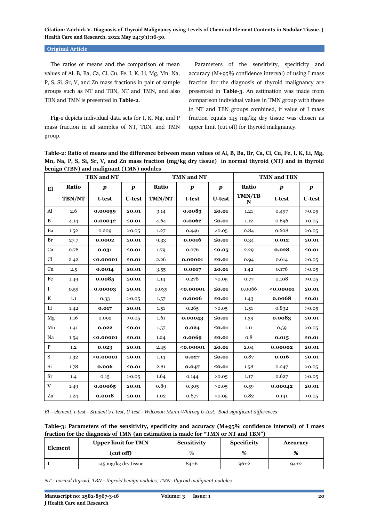#### **Original Article**

 The ratios of means and the comparison of mean values of Al, B, Ba, Ca, Cl, Cu, Fe, I, K, Li, Mg, Mn, Na, P, S, Si, Sr, V, and Zn mass fractions in pair of sample groups such as NT and TBN, NT and TMN, and also TBN and TMN is presented in **Table-2**.

 **Fig-1** depicts individual data sets for I, K, Mg, and P mass fraction in all samples of NT, TBN, and TMN group.

 Parameters of the sensitivity, specificity and accuracy ( $M \pm 95\%$  confidence interval) of using I mass fraction for the diagnosis of thyroid malignancy are presented in **Table-3**. An estimation was made from comparison individual values in TMN group with those in NT and TBN groups combined, if value of I mass fraction equals 145 mg/kg dry tissue was chosen as upper limit (cut off) for thyroid malignancy.

**Table-2: Ratio of means and the difference between mean values of Al, B, Ba, Br, Ca, Cl, Cu, Fe, I, K, Li, Mg, Mn, Na, P, S, Si, Sr, V, and Zn mass fraction (mg/kg dry tissue) in normal thyroid (NT) and in thyroid benign (TBN) and malignant (TMN) nodules**

|             | <b>TBN</b> and NT |                  |                  |        | TMN and NT       |                  |                    | <b>TMN and TBN</b> |                  |  |
|-------------|-------------------|------------------|------------------|--------|------------------|------------------|--------------------|--------------------|------------------|--|
| El          | Ratio             | $\boldsymbol{p}$ | $\boldsymbol{p}$ | Ratio  | $\boldsymbol{p}$ | $\boldsymbol{p}$ | Ratio              | $\boldsymbol{p}$   | $\boldsymbol{p}$ |  |
|             | <b>TBN/NT</b>     | t-test           | U-test           | TMN/NT | t-test           | <b>U-test</b>    | <b>TMN/TB</b><br>N | t-test             | U-test           |  |
| Al          | 2.6               | 0.00059          | $≤0.01$          | 3.14   | 0.0083           | $≤0.01$          | 1.21               | 0.497              | >0.05            |  |
| B           | 4.14              | 0.00042          | $≤0.01$          | 4.64   | 0.0062           | $≤0.01$          | 1.12               | 0.696              | >0.05            |  |
| Ba          | 1.52              | 0.209            | >0.05            | 1.27   | 0.446            | >0.05            | 0.84               | 0.608              | >0.05            |  |
| Br          | 27.7              | 0.0002           | $≤0.01$          | 9.33   | 0.0016           | $≤0.01$          | 0.34               | 0.012              | $≤0.01$          |  |
| Ca          | 0.78              | 0.031            | $≤0.01$          | 1.79   | 0.076            | $≤0.05$          | 2.29               | 0.028              | $≤0.01$          |  |
| Cl          | 2.42              | 0.00001          | $≤0.01$          | 2.26   | 0.00001          | $≤0.01$          | 0.94               | 0.614              | >0.05            |  |
| Cu          | 2.5               | 0.0014           | $≤0.01$          | 3.55   | 0.0017           | $≤0.01$          | 1.42               | 0.176              | >0.05            |  |
| Fe          | 1.49              | 0.0085           | $≤0.01$          | 1.14   | 0.278            | >0.05            | 0.77               | 0.108              | >0.05            |  |
| $\mathbf I$ | 0.59              | 0.00003          | $≤0.01$          | 0.039  | 0.00001          | $≤0.01$          | 0.0066             | 0.00001            | $≤0.01$          |  |
| K           | 1.1               | 0.33             | >0.05            | 1.57   | 0.0006           | $≤0.01$          | 1.43               | 0.0068             | $≤0.01$          |  |
| Li          | 1.42              | 0.017            | $≤0.01$          | 1.51   | 0.265            | >0.05            | 1.51               | 0.832              | >0.05            |  |
| Mg          | 1.16              | 0.092            | >0.05            | 1.61   | 0.00043          | $≤0.01$          | 1.39               | 0.0083             | $≤0.01$          |  |
| Mn          | 1.41              | 0.022            | ≤ $0.01$         | 1.57   | 0.024            | $≤0.01$          | 1.11               | 0.59               | >0.05            |  |
| Na          | 1.54              | 0.00001          | $≤0.01$          | 1.24   | 0.0069           | $\leq$ 0.01      | 0.8                | 0.015              | $≤0.01$          |  |
| P           | 1.2               | 0.023            | ≤ $0.01$         | 2.45   | 0.00001          | $≤0.01$          | 2.04               | 0.00002            | $≤0.01$          |  |
| S           | 1.32              | 0.00001          | $≤0.01$          | 1.14   | 0.027            | $≤0.01$          | 0.87               | 0.016              | $≤0.01$          |  |
| Si          | 1.78              | 0.006            | ≤ $0.01$         | 2.81   | 0.047            | $\leq$ 0.01      | 1.58               | 0.247              | >0.05            |  |
| Sr          | 1.4               | 0.15             | >0.05            | 1.64   | 0.144            | >0.05            | 1.17               | 0.627              | >0.05            |  |
| V           | 1.49              | 0.00065          | $≤0.01$          | 0.89   | 0.305            | >0.05            | 0.59               | 0.00042            | $≤0.01$          |  |
| Zn          | 1.24              | 0.0018           | ≤ $0.01$         | 1.02   | 0.877            | >0.05            | 0.82               | 0.141              | >0.05            |  |

*El – element, t-test - Student's t-test, U-test - Wilcoxon-Mann-Whitney U-test, Bold significant differences*

**Table-3: Parameters of the sensitivity, specificity and accuracy (M±95% confidence interval) of I mass fraction for the diagnosis of TMN (an estimation is made for "TMN or NT and TBN")**

| Element | <b>Upper limit for TMN</b> | Sensitivity | <b>Specificity</b> | <b>Accuracy</b> |  |
|---------|----------------------------|-------------|--------------------|-----------------|--|
|         | (cut off)                  | %           | %                  | %               |  |
|         | 145 mg/kg dry tissue       | $84+6$      | $96+2$             | $94 \pm 2$      |  |

*NT - normal thyroid, TBN - thyroid benign nodules, TMN- thyroid malignant nodules*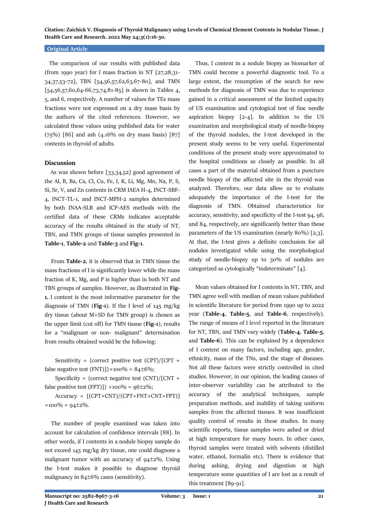### **Original Article**

 The comparison of our results with published data (from 1990 year) for I mass fraction in NT  $[27,28,31]$ 34,37,53-72], TBN [54,56,57,62,63,67-80], and TMN  $[54,56,57,60,64-66,73,74,81-85]$  is shown in Tables 4, 5, and 6, respectively. A number of values for TEs mass fractions were not expressed on a dry mass basis by the authors of the cited references. However, we calculated these values using published data for water  $(75\%)$  [86] and ash  $(4.16\%$  on dry mass basis) [87] contents in thyroid of adults.

# **Discussion**

 As was shown before [33,34,52] good agreement of the Al, B, Ba, Ca, Cl, Cu, Fe, I, K, Li, Mg, Mn, Na, P, S, Si, Sr, V, and Zn contents in CRM IAEA H-4, INCT-SBF-4, INCT-TL-1, and INCT-MPH-2 samples determined by both INAA-SLR and ICP-AES methods with the certified data of these CRMs indicates acceptable accuracy of the results obtained in the study of NT, TBN, and TMN groups of tissue samples presented in **Table-1**, **Table-2** and **Table-3** and **Fig-1**.

 From **Table-2**, it is observed that in TMN tissue the mass fractions of I is significantly lower while the mass fraction of K, Mg, and P is higher than in both NT and TBN groups of samples. However, as illustrated in **Fig-1**, I content is the most informative parameter for the diagnosis of TMN (**Fig-1**). If the I level of 145 mg/kg dry tissue (about M+SD for TMN group) is chosen as the upper limit (cut off) for TMN tissue (**Fig-1**), results for a "malignant or non- malignant" determination from results obtained would be the following:

Sensitivity = {correct positive test  $(CPT)/[CPT +$ false negative test (FNT)]} $\times$ 100% = 84±6%;

Specificity = {correct negative test  $(CNT)/[CNT +$ false positive test (FPT)]}  $\times 100\% = 96 \pm 2\%;$ 

Accuracy = [(CPT+CNT)/(CPT+FNT+CNT+FPT)]  $×100\% = 94±2\%.$ 

 The number of people examined was taken into account for calculation of confidence intervals [88]. In other words, if I contents in a nodule biopsy sample do not exceed 145 mg/kg dry tissue, one could diagnose a malignant tumor with an accuracy of  $94\pm2\%$ . Using the I-test makes it possible to diagnose thyroid malignancy in  $84±6%$  cases (sensitivity).

 Thus, I content in a nodule biopsy as biomarker of TMN could become a powerful diagnostic tool. To a large extent, the resumption of the search for new methods for diagnosis of TMN was due to experience gained in a critical assessment of the limited capacity of US examination and cytological test of fine needle aspiration biopsy [2-4]. In addition to the US examination and morphological study of needle-biopsy of the thyroid nodules, the I-test developed in the present study seems to be very useful. Experimental conditions of the present study were approximated to the hospital conditions as closely as possible. In all cases a part of the material obtained from a puncture needle biopsy of the affected site in the thyroid was analyzed. Therefore, our data allow us to evaluate adequately the importance of the I-test for the diagnosis of TMN. Obtained characteristics for accuracy, sensitivity, and specificity of the I-test 94, 96, and 84, respectively, are significantly better than these parameters of the US examination (nearly 80%) [2,3]. At that, the I-test gives a definite conclusion for all nodules investigated while using the morphological study of needle-biopsy up to 30% of nodules are categorized as cytologically "indeterminate" [4].

 Mean values obtained for I contents in NT, TBN, and TMN agree well with median of mean values published in scientific literature for period from 1990 up to 2022 year (**Table-4**, **Table-5**, and **Table-6**, respectively). The range of means of I level reported in the literature for NT, TBN, and TMN vary widely (**Table-4**, **Table-5**, and **Table-6**). This can be explained by a dependence of I content on many factors, including age, gender, ethnicity, mass of the TNs, and the stage of diseases. Not all these factors were strictly controlled in cited studies. However, in our opinion, the leading causes of inter-observer variability can be attributed to the accuracy of the analytical techniques, sample preparation methods, and inability of taking uniform samples from the affected tissues. It was insufficient quality control of results in these studies. In many scientific reports, tissue samples were ashed or dried at high temperature for many hours. In other cases, thyroid samples were treated with solvents (distilled water, ethanol, formalin etc). There is evidence that during ashing, drying and digestion at high temperature some quantities of I are lost as a result of this treatment [89-91].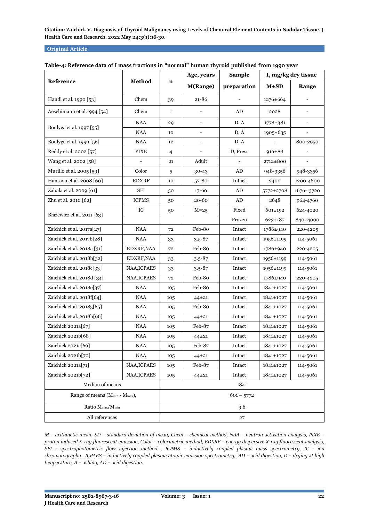# **Original Article**

|                                                        |              |              | Age, years               | <b>Sample</b> |                 | I, mg/kg dry tissue      |  |
|--------------------------------------------------------|--------------|--------------|--------------------------|---------------|-----------------|--------------------------|--|
| Reference                                              | Method       | n            | M(Range)                 | preparation   | $M\pm SD$       | Range                    |  |
| Handl et al. 1990 [53]                                 | Chem         | 39           | 21-86                    |               | $1276 \pm 664$  |                          |  |
| Aeschimann et al.1994 [54]                             | Chem         | 1            |                          | AD            | 2028            |                          |  |
|                                                        | <b>NAA</b>   | 29           | $\overline{\phantom{a}}$ | D, A          | 1778±381        | $\overline{\phantom{a}}$ |  |
| Boulyga et al. 1997 [55]                               | <b>NAA</b>   | 10           |                          | D, A          | 1905±635        |                          |  |
| Boulyga et al. 1999 [56]                               | <b>NAA</b>   | 12           |                          | D, A          |                 | 800-2950                 |  |
| Reddy et al. 2002 [57]                                 | <b>PIXE</b>  | 4            |                          | D, Press      | $916 \pm 88$    |                          |  |
| Wang et al. 2002 [58]                                  |              | 21           | Adult                    |               | 2712±800        |                          |  |
| Murillo et al. 2005 [59]                               | Color        | 5            | 30-43                    | ${\rm AD}$    | 948-3356        | 948-3356                 |  |
| Hansson et al. 2008 [60]                               | <b>EDXRF</b> | 10           | $57 - 80$                | Intact        | 2400            | 1200-4800                |  |
| Zabala et al. 2009 [61]                                | SFI          | 50           | $17 - 60$                | AD            | 5772±2708       | 1676-13720               |  |
| Zhu et al. 2010 [62]                                   | <b>ICPMS</b> | 50           | 20-60                    | AD            | 2648            | 964-4760                 |  |
|                                                        | ${\rm IC}$   | 50           | $M=25$                   | Fixed         | 601±192         | 624-4020                 |  |
| Błazewicz et al. 2011 [63]                             |              |              |                          | Frozen        | $623 \pm 187$   | 840-4000                 |  |
| Zaichick et al. 2017a[27]                              | <b>NAA</b>   | 72           | Feb-80                   | Intact        | 1786±940        | 220-4205                 |  |
| Zaichick et al. 2017b[28]                              | <b>NAA</b>   | 33           | $3.5 - 87$               | Intact        | 1956±1199       | 114-5061                 |  |
| Zaichick et al. 2018a [31]                             | EDXRF, NAA   | 72           | Feb-80                   | Intact        | 1786±940        | 220-4205                 |  |
| Zaichick et al. 2018b[32]                              | EDXRF, NAA   | 33           | $3.5 - 87$               | Intact        | 1956±1199       | 114-5061                 |  |
| Zaichick et al. 2018c[33]                              | NAA, ICPAES  | 33           | $3.5 - 87$               | Intact        | 1956±1199       | 114-5061                 |  |
| Zaichick et al. 2018d [34]                             | NAA, ICPAES  | 72           | Feb-80                   | Intact        | 1786±940        | 220-4205                 |  |
| Zaichick et al. 2018e[37]                              | <b>NAA</b>   | 105          | Feb-80                   | Intact        | 1841±1027       | 114-5061                 |  |
| Zaichick et al. 2018f[64]                              | <b>NAA</b>   | 105          | $44 + 21$                | Intact        | 1841±1027       | 114-5061                 |  |
| Zaichick et al. 2018g[65]                              | $\rm NAA$    | 105          | Feb-80                   | Intact        | 1841±1027       | 114-5061                 |  |
| Zaichick et al. 2018h[66]                              | <b>NAA</b>   | 105          | 44±21                    | Intact        | 1841±1027       | 114-5061                 |  |
| Zaichick 2021a[67]                                     | <b>NAA</b>   | 105          | Feb-87                   | Intact        | 1841±1027       | 114-5061                 |  |
| Zaichick 2021b[68]                                     | <b>NAA</b>   | 105          | $44 + 21$                | Intact        | 1841±1027       | 114-5061                 |  |
| Zaichick 2021c[69]                                     | $\rm NAA$    | 105          | Feb-87                   | Intact        | $1841{\pm}1027$ | 114-5061                 |  |
| Zaichick 2021b[70]                                     | NAA          | 105          | $44 + 21$                | Intact        | 1841±1027       | 114-5061                 |  |
| Zaichick 2021a[71]                                     | NAA, ICPAES  | 105          | Feb-87                   | Intact        | 1841±1027       | 114-5061                 |  |
| Zaichick 2021b[72]                                     | NAA, ICPAES  | 105          | $44 + 21$                | Intact        | 1841±1027       | 114-5061                 |  |
| Median of means                                        |              |              |                          | 1841          |                 |                          |  |
| Range of means (M <sub>min</sub> - M <sub>max</sub> ), |              | $601 - 5772$ |                          |               |                 |                          |  |
| Ratio $M_{\text{max}}/M_{\text{min}}$                  | 9.6          |              |                          |               |                 |                          |  |
| All references                                         | 27           |              |                          |               |                 |                          |  |

# **Table-4: Reference data of I mass fractions in "normal" human thyroid published from 1990 year**

*M – arithmetic mean, SD – standard deviation of mean, Chem – chemical method, NAA – neutron activation analysis, PIXE – proton induced X-ray fluorescent emission, Color – colorimetric method, EDXRF – energy dispersive X-ray fluorescent analysis, SFI - spectrophotometric flow injection method , ICPMS – inductively coupled plasma mass spectrometry, IC - ion chromatography , ICPAES – inductively coupled plasma atomic emission spectrometry, AD – acid digestion, D – drying at high temperature, A – ashing, AD – acid digestion.*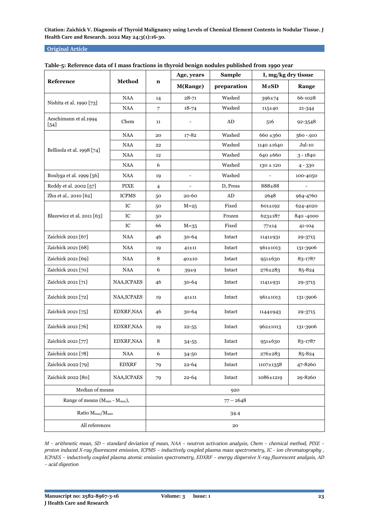# **Original Article**

|                                                        |              |                | Age, years               | <b>Sample</b> | I, mg/kg dry tissue |          |
|--------------------------------------------------------|--------------|----------------|--------------------------|---------------|---------------------|----------|
| Reference                                              | Method       | $\mathbf n$    | <b>M(Range)</b>          | preparation   | $M \pm SD$          | Range    |
|                                                        | <b>NAA</b>   | 14             | $28 - 71$                | Washed        | 396±74              | 66-1028  |
| Nishita et al. 1990 [73]                               | <b>NAA</b>   | $\overline{7}$ | $18 - 74$                | Washed        | $115+40$            | 21-344   |
| Aeschimann et al.1994<br>$[54]$                        | Chem         | 11             |                          | AD            | 516                 | 92-3548  |
|                                                        | $\rm NAA$    | 20             | $17 - 82$                | Washed        | $660 + 360$         | 560-.910 |
| Bellisola et al. 1998 [74]                             | <b>NAA</b>   | 22             |                          | Washed        | 1140 ±1640          | Jul-10   |
|                                                        | <b>NAA</b>   | 12             |                          | Washed        | $640 \pm 660$       | 3 - 1840 |
|                                                        | $\rm NAA$    | 6              |                          | Washed        | $130 \pm 120$       | 4 - 330  |
| Boulyga et al. 1999 [56]                               | $\rm NAA$    | 19             | $\overline{\phantom{a}}$ | Washed        |                     | 100-4050 |
| Reddy et al. 2002 [57]                                 | <b>PIXE</b>  | 4              |                          | D, Press      | 888±88              |          |
| Zhu et al., 2010 [62]                                  | <b>ICPMS</b> | 50             | 20-60                    | AD            | 2648                | 964-4760 |
|                                                        | IC           | 50             | $M=25$                   | Fixed         | 601±192             | 624-4020 |
| Błazewicz et al. 2011 [63]                             | IC           | 50             |                          | Frozen        | $623 \pm 187$       | 840-4000 |
|                                                        | IC           | 66             | $M=35$                   | Fixed         | $77 + 14$           | 41-104   |
| Zaichick 2021 [67]                                     | <b>NAA</b>   | 46             | $30 - 64$                | Intact        | 1141±931            | 29-3715  |
| Zaichick 2021 [68]                                     | $\rm NAA$    | 19             | $41 + 11$                | Intact        | 961±1013            | 131-3906 |
| Zaichick 2021 [69]                                     | NAA          | 8              | 40±10                    | Intact        | $951 \pm 630$       | 83-1787  |
| Zaichick 2021 [70]                                     | <b>NAA</b>   | 6              | $39+9$                   | Intact        | 276±283             | 85-824   |
| Zaichick 2021 [71]                                     | NAA, ICPAES  | 46             | $30-64$                  | Intact        | 1141±931            | 29-3715  |
| Zaichick 2021 [72]                                     | NAA, ICPAES  | 19             | $41 + 11$                | Intact        | 961±1013            | 131-3906 |
| Zaichick 2021 [75]                                     | EDXRF, NAA   | 46             | $30-64$                  | Intact        | 1144±943            | 29-3715  |
| Zaichick 2021 [76]                                     | EDXRF, NAA   | 19             | $22 - 55$                | Intact        | 962±1013            | 131-3906 |
| Zaichick 2021 [77]                                     | EDXRF, NAA   | 8              | $34 - 55$                | Intact        | $951 \pm 630$       | 83-1787  |
| Zaichick 2021 [78]                                     | NAA          | 6              | 34-50                    | Intact        | 276±283             | 85-824   |
| Zaichick 2022 [79]                                     | <b>EDXRF</b> | 79             | 22-64                    | Intact        | 1107±1358           | 47-8260  |
| Zaichick 2022 [80]                                     | NAA, ICPAES  | 79             | $22 - 64$                | Intact        | 1086±1219           | 29-8260  |
| Median of means                                        | 920          |                |                          |               |                     |          |
| Range of means (M <sub>min</sub> - M <sub>max</sub> ), | $77 - 2648$  |                |                          |               |                     |          |
| Ratio M <sub>max</sub> /M <sub>min</sub>               | 34.4         |                |                          |               |                     |          |
| All references                                         |              |                | 20                       |               |                     |          |

| Table-5: Reference data of I mass fractions in thyroid benign nodules published from 1990 year |  |  |  |
|------------------------------------------------------------------------------------------------|--|--|--|
|                                                                                                |  |  |  |

*M – arithmetic mean, SD – standard deviation of mean, NAA – neutron activation analysis, Chem – chemical method, PIXE – proton induced X-ray fluorescent emission, ICPMS – inductively coupled plasma mass spectrometry, IC - ion chromatography , ICPAES – inductively coupled plasma atomic emission spectrometry, EDXRF – energy dispersive X-ray fluorescent analysis, AD – acid digestion*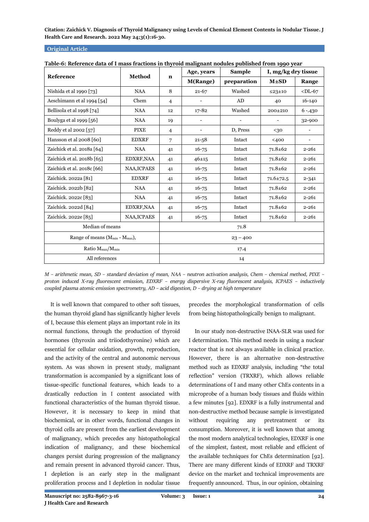### **Original Article**

| rable-o. Kelerence data or i mass fractions in thyroid manghant hodules published from 1990 year |                    |                | Age, years                   | <b>Sample</b>                | I, mg/kg dry tissue      |                          |
|--------------------------------------------------------------------------------------------------|--------------------|----------------|------------------------------|------------------------------|--------------------------|--------------------------|
| Reference                                                                                        | Method             | $\mathbf n$    | M(Range)                     | preparation                  | $M \pm SD$               | Range                    |
| Nishida et al 1990 [73]                                                                          | <b>NAA</b>         | 8              | $21 - 67$                    | Washed                       | ≤23±10                   | $<$ DL-67                |
| Aeschimann et al 1994 [54]                                                                       | Chem               | $\overline{4}$ |                              | AD                           | 40                       | 16-140                   |
| Bellisola et al 1998 [74]                                                                        | <b>NAA</b>         | 12             | $17 - 82$                    | Washed                       | 200±210                  | $6 - 430$                |
| Boulyga et al 1999 [56]                                                                          | NAA                | 19             | $\overline{\phantom{0}}$     | $\qquad \qquad \blacksquare$ | $\overline{\phantom{a}}$ | 32-900                   |
| Reddy et al 2002 [57]                                                                            | <b>PIXE</b>        | $\overline{4}$ | $\qquad \qquad \blacksquare$ | D, Press                     | $30$                     | $\overline{\phantom{a}}$ |
| Hansson et al 2008 [60]                                                                          | <b>EDXRF</b>       | 7              | $21 - 58$                    | Intact                       | $400$                    | $\overline{\phantom{0}}$ |
| Zaichick et al. 2018a [64]                                                                       | <b>NAA</b>         | 41             | $16 - 75$                    | Intact                       | $71.8 + 62$              | $2 - 261$                |
| Zaichick et al. 2018b [65]                                                                       | EDXRF, NAA         | 41             | $46 + 15$                    | Intact                       | $71.8 + 62$              | $2 - 261$                |
| Zaichick et al. 2018c [66]                                                                       | <b>NAA, ICPAES</b> | 41             | $16 - 75$                    | Intact                       | $71.8 + 62$              | $2 - 261$                |
| Zaichick. 2022a [81]                                                                             | <b>EDXRF</b>       | 41             | $16 - 75$                    | Intact                       | $71.6 \pm 72.5$          | $2 - 341$                |
| Zaichick. 2022b [82]                                                                             | <b>NAA</b>         | 41             | $16 - 75$                    | Intact                       | $71.8 + 62$              | $2 - 261$                |
| Zaichick. 2022c [83]                                                                             | <b>NAA</b>         | 41             | $16 - 75$                    | Intact                       | $71.8 + 62$              | $2 - 261$                |
| Zaichick. 2022d [84]                                                                             | EDXRF, NAA         | 41             | $16 - 75$                    | Intact                       | $71.8 + 62$              | $2 - 261$                |
| Zaichick. 2022e [85]                                                                             | NAA, ICPAES        | 41             | $16 - 75$                    | Intact                       | $71.8 + 62$              | $2 - 261$                |
| Median of means                                                                                  | 71.8               |                |                              |                              |                          |                          |
| Range of means $(M_{min} - M_{max})$ ,                                                           |                    | $23 - 400$     |                              |                              |                          |                          |
| Ratio M <sub>max</sub> /M <sub>min</sub>                                                         | 17.4               |                |                              |                              |                          |                          |
| All references                                                                                   | 14                 |                |                              |                              |                          |                          |

| Table-6: Reference data of I mass fractions in thyroid malignant nodules published from 1990 year |  |  |
|---------------------------------------------------------------------------------------------------|--|--|
|                                                                                                   |  |  |

*M – arithmetic mean, SD – standard deviation of mean, NAA – neutron activation analysis, Chem – chemical method, PIXE – proton induced X-ray fluorescent emission, EDXRF – energy dispersive X-ray fluorescent analysis, ICPAES – inductively coupled plasma atomic emission spectrometry, AD – acid digestion, D – drying at high temperature*

 It is well known that compared to other soft tissues, the human thyroid gland has significantly higher levels of I, because this element plays an important role in its normal functions, through the production of thyroid hormones (thyroxin and triiodothyronine) which are essential for cellular oxidation, growth, reproduction, and the activity of the central and autonomic nervous system. As was shown in present study, malignant transformation is accompanied by a significant loss of tissue-specific functional features, which leads to a drastically reduction in I content associated with functional characteristics of the human thyroid tissue. However, it is necessary to keep in mind that biochemical, or in other words, functional changes in thyroid cells are present from the earliest development of malignancy, which precedes any histopathological indication of malignancy, and these biochemical changes persist during progression of the malignancy and remain present in advanced thyroid cancer. Thus, I depletion is an early step in the malignant proliferation process and I depletion in nodular tissue

precedes the morphological transformation of cells from being histopathologically benign to malignant.

 In our study non-destructive INAA-SLR was used for I determination. This method needs in using a nuclear reactor that is not always available in clinical practice. However, there is an alternative non-destructive method such as EDXRF analysis, including "the total reflection" version (TRXRF), which allows reliable determinations of I and many other ChEs contents in a microprobe of a human body tissues and fluids within a few minutes [92]. EDXRF is a fully instrumental and non-destructive method because sample is investigated without requiring any pretreatment or its consumption. Moreover, it is well known that among the most modern analytical technologies, EDXRF is one of the simplest, fastest, most reliable and efficient of the available techniques for ChEs determination [92]. There are many different kinds of EDXRF and TRXRF device on the market and technical improvements are frequently announced. Thus, in our opinion, obtaining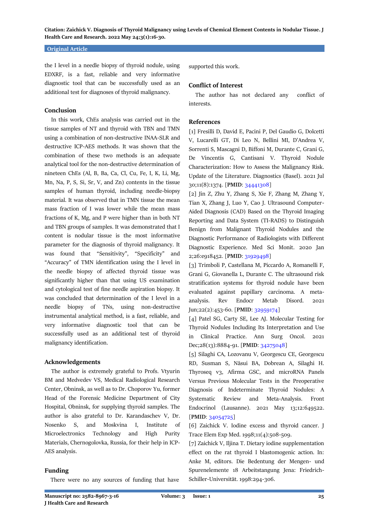### **Original Article**

the I level in a needle biopsy of thyroid nodule, using EDXRF, is a fast, reliable and very informative diagnostic tool that can be successfully used as an additional test for diagnoses of thyroid malignancy.

#### **Conclusion**

 In this work, ChEs analysis was carried out in the tissue samples of NT and thyroid with TBN and TMN using a combination of non-destructive INAA-SLR and destructive ICP-AES methods. It was shown that the combination of these two methods is an adequate analytical tool for the non-destructive determination of nineteen ChEs (Al, B, Ba, Ca, Cl, Cu, Fe, I, K, Li, Mg, Mn, Na, P, S, Si, Sr, V, and Zn) contents in the tissue samples of human thyroid, including needle-biopsy material. It was observed that in TMN tissue the mean mass fraction of I was lower while the mean mass fractions of K, Mg, and P were higher than in both NT and TBN groups of samples. It was demonstrated that I content is nodular tissue is the most informative parameter for the diagnosis of thyroid malignancy. It was found that "Sensitivity", "Specificity" and "Accuracy" of TMN identification using the I level in the needle biopsy of affected thyroid tissue was significantly higher than that using US examination and cytological test of fine needle aspiration biopsy. It was concluded that determination of the I level in a needle biopsy of TNs, using non-destructive instrumental analytical method, is a fast, reliable, and very informative diagnostic tool that can be successfully used as an additional test of thyroid malignancy identification.

### **Acknowledgements**

 The author is extremely grateful to Profs. Vtyurin BM and Medvedev VS, Medical Radiological Research Center, Obninsk, as well as to Dr. Choporov Yu, former Head of the Forensic Medicine Department of City Hospital, Obninsk, for supplying thyroid samples. The author is also grateful to Dr. Karandaschev V, Dr. Nosenko S, and Moskvina I, Institute of Microelectronics Technology and High Purity Materials, Chernogolovka, Russia, for their help in ICP-AES analysis.

# **Funding**

There were no any sources of funding that have

supported this work.

#### **Conflict of Interest**

 The author has not declared any conflict of interests.

# **References**

[1] Fresilli D, David E, Pacini P, Del Gaudio G, Dolcetti V, Lucarelli GT, Di Leo N, Bellini MI, D'Andrea V, Sorrenti S, Mascagni D, Biffoni M, Durante C, Grani G, De Vincentis G, Cantisani V. Thyroid Nodule Characterization: How to Assess the Malignancy Risk. Update of the Literature. Diagnostics (Basel). 2021 Jul 30;11(8):1374. [**PMID**: [34441308\]](https://pubmed.ncbi.nlm.nih.gov/34441308/)

[2] Jin Z, Zhu Y, Zhang S, Xie F, Zhang M, Zhang Y, Tian X, Zhang J, Luo Y, Cao J. Ultrasound Computer-Aided Diagnosis (CAD) Based on the Thyroid Imaging Reporting and Data System (TI-RADS) to Distinguish Benign from Malignant Thyroid Nodules and the Diagnostic Performance of Radiologists with Different Diagnostic Experience. Med Sci Monit. 2020 Jan 2;26:e918452. [**PMID**: [31929498\]](https://pubmed.ncbi.nlm.nih.gov/31929498/)

[3] Trimboli P, Castellana M, Piccardo A, Romanelli F, Grani G, Giovanella L, Durante C. The ultrasound risk stratification systems for thyroid nodule have been evaluated against papillary carcinoma. A metaanalysis. Rev Endocr Metab Disord. 2021 Jun;22(2):453-60. [**PMID**[: 32959174\]](https://pubmed.ncbi.nlm.nih.gov/32959174/)

[4] Patel SG, Carty SE, Lee AJ. Molecular Testing for Thyroid Nodules Including Its Interpretation and Use in Clinical Practice. Ann Surg Oncol. 2021 Dec;28(13):8884-91. [**PMID**[: 34275048\]](https://pubmed.ncbi.nlm.nih.gov/34275048/)

[5] Silaghi CA, Lozovanu V, Georgescu CE, Georgescu RD, Susman S, Năsui BA, Dobrean A, Silaghi H. Thyroseq v3, Afirma GSC, and microRNA Panels Versus Previous Molecular Tests in the Preoperative Diagnosis of Indeterminate Thyroid Nodules: A Systematic Review and Meta-Analysis. Front Endocrinol (Lausanne). 2021 May 13;12:649522. [**PMID**: [34054725\]](https://pubmed.ncbi.nlm.nih.gov/34054725/)

[6] Zaichick V. Iodine excess and thyroid cancer. J Trace Elem Exp Med. 1998;11(4):508-509.

[7] Zaichick V, Iljina T. Dietary iodine supplementation effect on the rat thyroid I blastomogenic action. In: Anke M, editors. Die Bedentung der Mengen- und Spurenelemente 18 Arbeitstangung Jena: Friedrich-Schiller-Universität. 1998:294-306.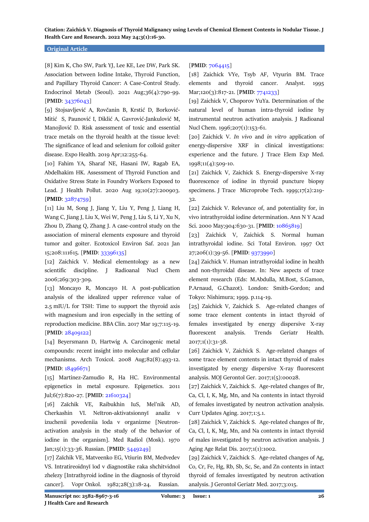### **Original Article**

[8] Kim K, Cho SW, Park YJ, Lee KE, Lee DW, Park SK. Association between Iodine Intake, Thyroid Function, and Papillary Thyroid Cancer: A Case-Control Study. Endocrinol Metab (Seoul). 2021 Aug;36(4):790-99. [**PMID**[: 34376043\]](https://pubmed.ncbi.nlm.nih.gov/34376043/)

[9] Stojsavljević A, Rovčanin B, Krstić D, Borković-Mitić S, Paunović I, Diklić A, Gavrović-Jankulović M, Manojlović D. Risk assessment of toxic and essential trace metals on the thyroid health at the tissue level: The significance of lead and selenium for colloid goiter disease. Expo Health. 2019 Apr;12:255-64.

[10] Fahim YA, Sharaf NE, Hasani IW, Ragab EA, Abdelhakim HK. Assessment of Thyroid Function and Oxidative Stress State in Foundry Workers Exposed to Lead. J Health Pollut. 2020 Aug 19;10(27):200903. [**PMID**[: 32874759\]](https://pubmed.ncbi.nlm.nih.gov/32874759/)

[11] Liu M, Song J, Jiang Y, Liu Y, Peng J, Liang H, Wang C, Jiang J, Liu X, Wei W, Peng J, Liu S, Li Y, Xu N, Zhou D, Zhang Q, Zhang J. A case-control study on the association of mineral elements exposure and thyroid tumor and goiter. Ecotoxicol Environ Saf. 2021 Jan 15;208:111615. [**PMID**: [33396135\]](https://pubmed.ncbi.nlm.nih.gov/33396135/)

[12] Zaichick V. Medical elementology as a new scientific discipline. J Radioanal Nucl Chem 2006;269:303-309.

[13] Moncayo R, Moncayo H. A post-publication analysis of the idealized upper reference value of 2.5 mIU/L for TSH: Time to support the thyroid axis with magnesium and iron especially in the setting of reproduction medicine. BBA Clin. 2017 Mar 19;7:115-19. [**PMID**[: 28409122\]](https://pubmed.ncbi.nlm.nih.gov/28409122/)

[14] Beyersmann D, Hartwig A. Carcinogenic metal compounds: recent insight into molecular and cellular mechanisms. Arch Toxicol. 2008 Aug;82(8):493-12. [**PMID**[: 18496671\]](https://pubmed.ncbi.nlm.nih.gov/18496671/)

[15] Martinez-Zamudio R, Ha HC. Environmental epigenetics in metal exposure. Epigenetics. 2011 Jul;6(7):820-27. [**PMID**: [21610324\]](https://pubmed.ncbi.nlm.nih.gov/21610324/)

[16] Zaĭchik VE, Raibukhin IuS, Mel'nik AD, Cherkashin VI. Neĭtron-aktivatsionnyĭ analiz v izuchenii povedeniia ĭoda v organizme [Neutronactivation analysis in the study of the behavior of iodine in the organism]. Med Radiol (Mosk). 1970 Jan;15(1):33-36. Russian. [**PMID**: [5449249\]](https://pubmed.ncbi.nlm.nih.gov/5449249/)

[17] Zaĭchik VE, Matveenko EG, Vtiurin BM, Medvedev VS. Intratireoidnyĭ ĭod v diagnostike raka shchitvidnoĭ zhelezy [Intrathyroid iodine in the diagnosis of thyroid cancer]. Vopr Onkol. 1982;28(3):18-24. Russian.

### [**PMID**: [7064415\]](https://pubmed.ncbi.nlm.nih.gov/7064415/)

[18] Zaichick VYe, Tsyb AF, Vtyurin BM. Trace elements and thyroid cancer. Analyst. 1995 Mar;120(3):817-21. [**PMID**[: 7741233\]](https://pubmed.ncbi.nlm.nih.gov/7741233/)

[19] Zaichick V, Choporov YuYa. Determination of the natural level of human intra-thyroid iodine by instrumental neutron activation analysis. J Radioanal Nucl Chem. 1996;207(1):153-61.

[20] Zaichick V. *In vivo* and *in vitro* application of energy-dispersive XRF in clinical investigations: experience and the future. J Trace Elem Exp Med. 1998;11(4):509-10.

[21] Zaichick V, Zaichick S. Energy-dispersive X-ray fluorescence of iodine in thyroid puncture biopsy specimens. J Trace Microprobe Tech. 1999;17(2):219- 32.

[22] Zaichick V. Relevance of, and potentiality for, in vivo intrathyroidal iodine determination. Ann N Y Acad Sci. 2000 May;904:630-31. [PMID: [10865819\]](https://pubmed.ncbi.nlm.nih.gov/10865819/)

[23] Zaichick V, Zaichick S. Normal human intrathyroidal iodine. Sci Total Environ. 1997 Oct 27;206(1):39-56. [**PMID**[: 9373990\]](https://pubmed.ncbi.nlm.nih.gov/9373990/)

[24] Zaichick V. Human intrathyroidal iodine in health and non-thyroidal disease. In: New aspects of trace element research (Eds: M.Abdulla, M.Bost, S.Gamon, P.Arnaud, G.Chazot). London: Smith-Gordon; and Tokyo: Nishimura; 1999. p.114-19.

[25] Zaichick V, Zaichick S. Age-related changes of some trace element contents in intact thyroid of females investigated by energy dispersive X-ray fluorescent analysis. Trends Geriatr Health. 2017;1(1):31-38.

[26] Zaichick V, Zaichick S. Age-related changes of some trace element contents in intact thyroid of males investigated by energy dispersive X-ray fluorescent analysis. MOJ Gerontol Ger. 2017;1(5):00028.

[27] Zaichick V, Zaichick S. Age-related changes of Br, Ca, Cl, I, K, Mg, Mn, and Na contents in intact thyroid of females investigated by neutron activation analysis. Curr Updates Aging. 2017;1:5.1.

[28] Zaichick V, Zaichick S. Age-related changes of Br, Ca, Cl, I, K, Mg, Mn, and Na contents in intact thyroid of males investigated by neutron activation analysis. J Aging Age Relat Dis. 2017;1(1):1002.

[29] Zaichick V, Zaichick S. Age-related changes of Ag, Co, Cr, Fe, Hg, Rb, Sb, Sc, Se, and Zn contents in intact thyroid of females investigated by neutron activation analysis. J Gerontol Geriatr Med. 2017;3:015.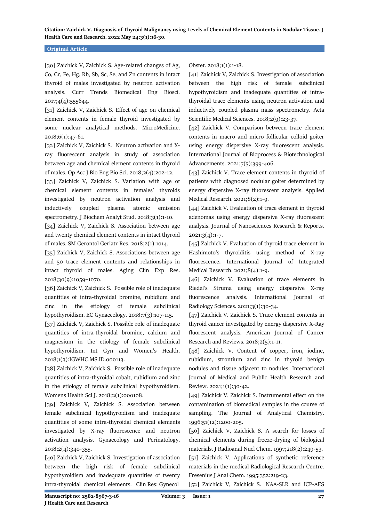#### **Original Article**

[30] Zaichick V, Zaichick S. Age-related changes of Ag, Co, Cr, Fe, Hg, Rb, Sb, Sc, Se, and Zn contents in intact thyroid of males investigated by neutron activation analysis. Curr Trends Biomedical Eng Biosci. 2017;4(4):555644.

[31] Zaichick V, Zaichick S. Effect of age on chemical element contents in female thyroid investigated by some nuclear analytical methods. MicroMedicine. 2018;6(1):47-61.

[32] Zaichick V, Zaichick S. Neutron activation and Xray fluorescent analysis in study of association between age and chemical element contents in thyroid of males. Op Acc J Bio Eng Bio Sci. 2018;2(4):202-12.

[33] Zaichick V, Zaichick S. Variation with age of chemical element contents in females' thyroids investigated by neutron activation analysis and inductively coupled plasma atomic emission spectrometry. J Biochem Analyt Stud. 2018;3(1):1-10.

[34] Zaichick V, Zaichick S. Association between age and twenty chemical element contents in intact thyroid of males. SM Gerontol Geriatr Res. 2018;2(1):1014.

[35] Zaichick V, Zaichick S. Associations between age and 50 trace element contents and relationships in intact thyroid of males. Aging Clin Exp Res. 2018;30(9):1059–1070.

[36] Zaichick V, Zaichick S. Possible role of inadequate quantities of intra-thyroidal bromine, rubidium and zinc in the etiology of female subclinical hypothyroidism. EC Gynaecology. 2018;7(3):107-115.

[37] Zaichick V, Zaichick S. Possible role of inadequate quantities of intra-thyroidal bromine, calcium and magnesium in the etiology of female subclinical hypothyroidism. Int Gyn and Women's Health. 2018;1(3):IGWHC.MS.ID.000113.

[38] Zaichick V, Zaichick S. Possible role of inadequate quantities of intra-thyroidal cobalt, rubidium and zinc in the etiology of female subclinical hypothyroidism. Womens Health Sci J. 2018;2(1):000108.

[39] Zaichick V, Zaichick S. Association between female subclinical hypothyroidism and inadequate quantities of some intra-thyroidal chemical elements investigated by X-ray fluorescence and neutron activation analysis. Gynaecology and Perinatology. 2018;2(4):340-355.

[40] Zaichick V, Zaichick S. Investigation of association between the high risk of female subclinical hypothyroidism and inadequate quantities of twenty intra-thyroidal chemical elements. Clin Res: Gynecol

Obstet. 2018;1(1):1-18.

[41] Zaichick V, Zaichick S. Investigation of association between the high risk of female subclinical hypothyroidism and inadequate quantities of intrathyroidal trace elements using neutron activation and inductively coupled plasma mass spectrometry. Acta Scientific Medical Sciences. 2018;2(9):23-37.

[42] Zaichick V. Comparison between trace element contents in macro and micro follicular colloid goiter using energy dispersive X-ray fluorescent analysis. International Journal of Bioprocess & Biotechnological Advancements. 2021;7(5):399-406.

[43] Zaichick V. Trace element contents in thyroid of patients with diagnosed nodular goiter determined by energy dispersive X-ray fluorescent analysis. Applied Medical Research. 2021;8(2):1-9.

[44] Zaichick V. Evaluation of trace element in thyroid adenomas using energy dispersive X-ray fluorescent analysis. Journal of Nanosciences Research & Reports. 2021;3(4):1-7.

[45] Zaichick V. Evaluation of thyroid trace element in Hashimoto's thyroiditis using method of X-ray fluorescence**.** International Journal of Integrated Medical Research. 2021;8(4):1-9**.**

[46] Zaichick V. Evaluation of trace elements in Riedel's Struma using energy dispersive X-ray fluorescence analysis. International Journal of Radiology Sciences. 2021;3(1):30-34.

[47] Zaichick V. Zaichick S. Trace element contents in thyroid cancer investigated by energy dispersive X-Ray fluorescent analysis. American Journal of Cancer Research and Reviews. 2018;2(5):1-11.

[48] Zaichick V. Content of copper, iron, iodine, rubidium, strontium and zinc in thyroid benign nodules and tissue adjacent to nodules. International Journal of Medical and Public Health Research and Review. 2021;1(1):30-42.

[49] Zaichick V, Zaichick S. Instrumental effect on the contamination of biomedical samples in the course of sampling. The Journal of Analytical Chemistry. 1996;51(12):1200-205.

[50] Zaichick V, Zaichick S. A search for losses of chemical elements during freeze-drying of biological materials. J Radioanal Nucl Chem. 1997;218(2):249-53.

[51] Zaichick V. Applications of synthetic reference materials in the medical Radiological Research Centre. Fresenius J Anal Chem. 1995;352:219-23.

[52] Zaichick V, Zaichick S. NAA-SLR and ICP-AES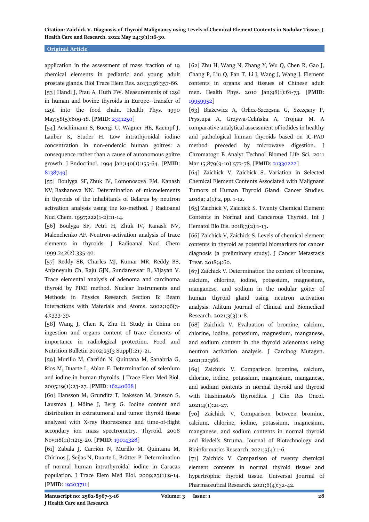#### **Original Article**

application in the assessment of mass fraction of 19 chemical elements in pediatric and young adult prostate glands. Biol Trace Elem Res. 2013;156:357-66. [53] Handl J, Pfau A, Huth FW. Measurements of 129I in human and bovine thyroids in Europe--transfer of 129I into the food chain. Health Phys. 1990 May;58(5):609-18. [**PMID**[: 2341250\]](https://pubmed.ncbi.nlm.nih.gov/2341250/)

[54] Aeschimann S, Buergi U, Wagner HE, Kaempf J, Lauber K, Studer H. Low intrathyroidal iodine concentration in non-endemic human goitres: a consequence rather than a cause of autonomous goitre growth. J Endocrinol. 1994 Jan;140(1):155-64. [**PMID**: [8138749\]](https://pubmed.ncbi.nlm.nih.gov/8138749/)

[55] Boulyga SF, Zhuk IV, Lomonosova EM, Kanash NV, Bazhanova NN. Determination of microelements in thyroids of the inhabitants of Belarus by neutron activation analysis using the k0-method. J Radioanal Nucl Chem. 1997;222(1-2):11-14.

[56] Boulyga SF, Petri H, Zhuk IV, Kanash NV, Malenchenko AF. Neutron-activation analysis of trace elements in thyroids. J Radioanal Nucl Chem 1999;242(2):335-40.

[57] Reddy SB, Charles MJ, Kumar MR, Reddy BS, Anjaneyulu Ch, Raju GJN, Sundareswar B, Vijayan V. Trace elemental analysis of adenoma and carcinoma thyroid by PIXE method. [Nuclear Instruments and](http://www.sciencedirect.com/science/journal/0168583X)  [Methods in Physics Research Section B: Beam](http://www.sciencedirect.com/science/journal/0168583X)  [Interactions with Materials and Atoms.](http://www.sciencedirect.com/science/journal/0168583X) 2002[;196\(3-](http://www.sciencedirect.com/science?_ob=PublicationURL&_tockey=%23TOC%235315%232002%23998039996%23354804%23FLA%23&_cdi=5315&_pubType=J&view=c&_auth=y&_acct=C000050221&_version=1&_urlVersion=0&_userid=10&md5=1ea755871e5d8a9eae2188cb0817f7a9) [4\)](http://www.sciencedirect.com/science?_ob=PublicationURL&_tockey=%23TOC%235315%232002%23998039996%23354804%23FLA%23&_cdi=5315&_pubType=J&view=c&_auth=y&_acct=C000050221&_version=1&_urlVersion=0&_userid=10&md5=1ea755871e5d8a9eae2188cb0817f7a9):333-39.

[58] Wang J, Chen R, Zhu H. Study in China on ingestion and organs content of trace elements of importance in radiological protection. Food and Nutrition Bulletin 2002;23(3 Suppl):217-21.

[59] Murillo M, Carrión N, Quintana M, Sanabria G, Ríos M, Duarte L, Ablan F. Determination of selenium and iodine in human thyroids. J Trace Elem Med Biol. 2005;19(1):23-27. [**PMID**[: 16240668\]](https://pubmed.ncbi.nlm.nih.gov/16240668/)

[60] Hansson M, Grunditz T, Isaksson M, Jansson S, Lausmaa J, Mölne J, Berg G. Iodine content and distribution in extratumoral and tumor thyroid tissue analyzed with X-ray fluorescence and time-of-flight secondary ion mass spectrometry. Thyroid. 2008 Nov;18(11):1215-20. [**PMID**: [19014328\]](https://pubmed.ncbi.nlm.nih.gov/19014328/)

[61] Zabala J, Carrión N, Murillo M, Quintana M, Chirinos J, Seijas N, Duarte L, Brätter P. Determination of normal human intrathyroidal iodine in Caracas population. J Trace Elem Med Biol. 2009;23(1):9-14. [**PMID**[: 19203711\]](https://pubmed.ncbi.nlm.nih.gov/19203711/)

[62] Zhu H, Wang N, Zhang Y, Wu Q, Chen R, Gao J, Chang P, Liu Q, Fan T, Li J, Wang J, Wang J. Element contents in organs and tissues of Chinese adult men. Health Phys. 2010 Jan;98(1):61-73. [**PMID**: [19959952\]](https://pubmed.ncbi.nlm.nih.gov/19959952/)

[63] Błażewicz A, Orlicz-Szczęsna G, Szczęsny P, Prystupa A, Grzywa-Celińska A, Trojnar M. A comparative analytical assessment of iodides in healthy and pathological human thyroids based on IC-PAD method preceded by microwave digestion. J Chromatogr B Analyt Technol Biomed Life Sci. 2011 Mar 15;879(9-10):573-78. [**PMID**[: 21330222\]](https://pubmed.ncbi.nlm.nih.gov/21330222/)

[64] Zaichick V, Zaichick S. Variation in Selected Chemical Element Contents Associated with Malignant Tumors of Human Thyroid Gland. Cancer Studies. 2018a; 2(1):2, pp. 1-12.

[65] Zaichick V, Zaichick S. Twenty Chemical Element Contents in Normal and Cancerous Thyroid. Int J Hematol Blo Dis. 2018;3(2):1-13**.**

[66] Zaichick V, Zaichick S. Levels of chemical element contents in thyroid as potential biomarkers for cancer diagnosis (a preliminary study). J Cancer Metastasis Treat. 2018;4:60.

[67] Zaichick V. Determination the content of bromine, calcium, chlorine, iodine, potassium, magnesium, manganese, and sodium in the nodular goiter of human thyroid gland using neutron activation analysis. Aditum Journal of Clinical and Biomedical Research. 2021;3(3):1-8.

[68] Zaichick V. Evaluation of bromine, calcium, chlorine, iodine, potassium, magnesium, manganese, and sodium content in the thyroid adenomas using neutron activation analysis. J Carcinog Mutagen. 2021;12:366.

[69] Zaichick V. Comparison bromine, calcium, chlorine, iodine, potassium, magnesium, manganese, and sodium contents in normal thyroid and thyroid with Hashimoto's thyroiditis. J Clin Res Oncol. 2021;4(1):21-27.

[70] Zaichick V. Comparison between bromine, calcium, chlorine, iodine, potassium, magnesium, manganese, and sodium contents in normal thyroid and Riedel's Struma. Journal of Biotechnology and Bioinformatics Research. 2021;3(4):1-6.

[71] Zaichick V. Comparison of twenty chemical element contents in normal thyroid tissue and hypertrophic thyroid tissue. Universal Journal of Pharmaceutical Research. 2021;6(4):32-42.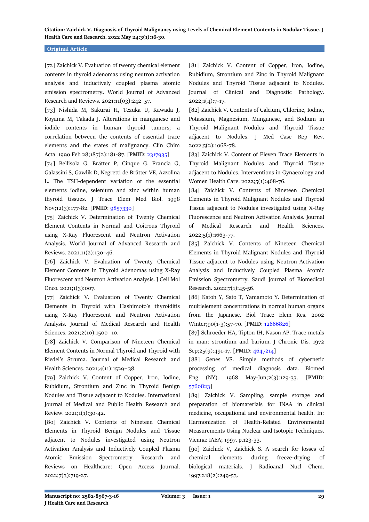#### **Original Article**

[72] Zaichick V. Evaluation of twenty chemical element contents in thyroid adenomas using neutron activation analysis and inductively coupled plasma atomic emission spectrometry**.** World Journal of Advanced Research and Reviews. 2021;11(03):242–57.

[73] Nishida M, Sakurai H, Tezuka U, Kawada J, Koyama M, Takada J. Alterations in manganese and iodide contents in human thyroid tumors; a correlation between the contents of essential trace elements and the states of malignancy. Clin Chim Acta. 1990 Feb 28;187(2):181-87. [**PMID**[: 2317935\]](https://pubmed.ncbi.nlm.nih.gov/2317935/)

[74] Bellisola G, Brätter P, Cinque G, Francia G, Galassini S, Gawlik D, Negretti de Brätter VE, Azzolina L. The TSH-dependent variation of the essential elements iodine, selenium and zinc within human thyroid tissues. J Trace Elem Med Biol. 1998 Nov;12(3):177-82. [**PMID**: [9857330\]](https://pubmed.ncbi.nlm.nih.gov/9857330/)

[75] Zaichick V. Determination of Twenty Chemical Element Contents in Normal and Goitrous Thyroid using X-Ray Fluorescent and Neutron Activation Analysis. World Journal of Advanced Research and Reviews. 2021;11(2):130–46.

[76] Zaichick V. Evaluation of Twenty Chemical Element Contents in Thyroid Adenomas using X-Ray Fluorescent and Neutron Activation Analysis. J Cell Mol Onco. 2021;1(3):007.

[77] Zaichick V. Evaluation of Twenty Chemical Elements in Thyroid with Hashimoto's thyroiditis using X-Ray Fluorescent and Neutron Activation Analysis. Journal of Medical Research and Health Sciences. 2021;2(10):1500−10.

[78] Zaichick V. Comparison of Nineteen Chemical Element Contents in Normal Thyroid and Thyroid with Riedel's Struma. Journal of Medical Research and Health Sciences. 2021;4(11):1529−38.

[79] Zaichick V. Content of Copper, Iron, Iodine, Rubidium, Strontium and Zinc in Thyroid Benign Nodules and Tissue adjacent to Nodules. International Journal of Medical and Public Health Research and Review. 2021;1(1):30-42.

[80] Zaichick V. Contents of Nineteen Chemical Elements in Thyroid Benign Nodules and Tissue adjacent to Nodules investigated using Neutron Activation Analysis and Inductively Coupled Plasma Atomic Emission Spectrometry. Research and Reviews on Healthcare: Open Access Journal. 2022;7(3):719-27.

[81] Zaichick V. Content of Copper, Iron, Iodine, Rubidium, Strontium and Zinc in Thyroid Malignant Nodules and Thyroid Tissue adjacent to Nodules. Journal of Clinical and Diagnostic Pathology. 2022;1(4):7-17.

[82] Zaichick V. Contents of Calcium, Chlorine, Iodine, Potassium, Magnesium, Manganese, and Sodium in Thyroid Malignant Nodules and Thyroid Tissue adjacent to Nodules. J Med Case Rep Rev. 2022;5(2):1068-78.

[83] Zaichick V. Content of Eleven Trace Elements in Thyroid Malignant Nodules and Thyroid Tissue adjacent to Nodules. Interventions in Gynaecology and Women Health Care. 2022;5(1):468-76.

[84] Zaichick V. Contents of Nineteen Chemical Elements in Thyroid Malignant Nodules and Thyroid Tissue adjacent to Nodules investigated using X-Ray Fluorescence and Neutron Activation Analysis. Journal of Medical Research and Health Sciences. 2022;5(1):1663-77.

[85] Zaichick V. Contents of Nineteen Chemical Elements in Thyroid Malignant Nodules and Thyroid Tissue adjacent to Nodules using Neutron Activation Analysis and Inductively Coupled Plasma Atomic Emission Spectrometry. Saudi Journal of Biomedical Research. 2022;7(1):45-56.

[86] Katoh Y, Sato T, Yamamoto Y. Determination of multielement concentrations in normal human organs from the Japanese. Biol Trace Elem Res. 2002 Winter;90(1-3):57-70. [**PMID**[: 12666826\]](https://pubmed.ncbi.nlm.nih.gov/12666826/)

[87] Schroeder HA, Tipton IH, Nason AP. Trace metals in man: strontium and barium. J Chronic Dis. 1972 Sep;25(9):491-17. [**PMID**[: 4647214\]](https://pubmed.ncbi.nlm.nih.gov/4647214/)

[88] Genes VS. Simple methods of cybernetic processing of medical diagnosis data. Biomed Eng (NY). 1968 May-Jun;2(3):129-33. [**PMID**: [5760823\]](https://pubmed.ncbi.nlm.nih.gov/5760823/)

[89] Zaichick V. Sampling, sample storage and preparation of biomaterials for INAA in clinical medicine, occupational and environmental health. In: Harmonization of Health-Related Environmental Measurements Using Nuclear and Isotopic Techniques. Vienna: IAEA; 1997. p.123-33.

[90] Zaichick V, Zaichick S. A search for losses of chemical elements during freeze-drying of biological materials. J Radioanal Nucl Chem. 1997;218(2):249-53.